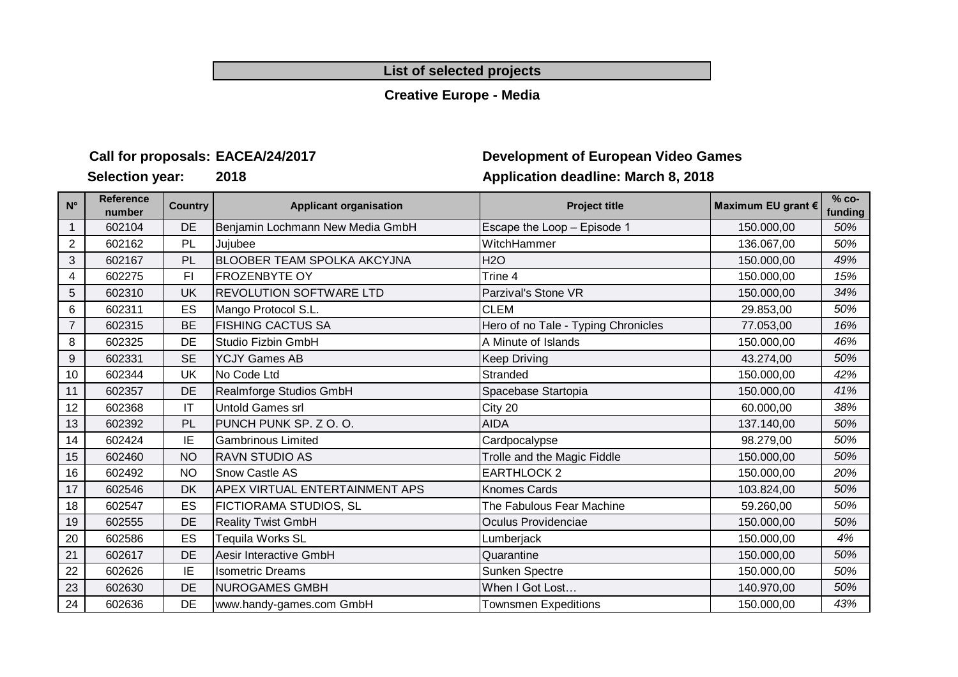#### **List of selected projects**

#### **Creative Europe - Media**

#### **Call for proposals:**

**Selection year: 2018**

# **Development of European Video Games Application deadline: March 8, 2018**

| $N^{\circ}$    | <b>Reference</b><br>number | <b>Country</b> | <b>Applicant organisation</b>         | <b>Project title</b>                | Maximum EU grant € | $% co-$<br>funding |
|----------------|----------------------------|----------------|---------------------------------------|-------------------------------------|--------------------|--------------------|
|                | 602104                     | <b>DE</b>      | Benjamin Lochmann New Media GmbH      | Escape the Loop - Episode 1         | 150.000,00         | 50%                |
| $\overline{2}$ | 602162                     | PL             | Jujubee                               | WitchHammer                         | 136.067,00         | 50%                |
| 3              | 602167                     | PL             | <b>BLOOBER TEAM SPOLKA AKCYJNA</b>    | <b>H2O</b>                          | 150.000,00         | 49%                |
| 4              | 602275                     | F1             | <b>FROZENBYTE OY</b>                  | Trine 4                             | 150.000,00         | 15%                |
| 5              | 602310                     | UK             | <b>REVOLUTION SOFTWARE LTD</b>        | Parzival's Stone VR                 | 150.000,00         | 34%                |
| 6              | 602311                     | ES             | Mango Protocol S.L.                   | <b>CLEM</b>                         | 29.853,00          | 50%                |
| $\overline{7}$ | 602315                     | <b>BE</b>      | <b>FISHING CACTUS SA</b>              | Hero of no Tale - Typing Chronicles | 77.053,00          | 16%                |
| 8              | 602325                     | DE             | Studio Fizbin GmbH                    | A Minute of Islands                 | 150.000,00         | 46%                |
| 9              | 602331                     | <b>SE</b>      | <b>YCJY Games AB</b>                  | <b>Keep Driving</b>                 | 43.274,00          | 50%                |
| 10             | 602344                     | UK             | No Code Ltd                           | Stranded                            | 150.000,00         | 42%                |
| 11             | 602357                     | <b>DE</b>      | Realmforge Studios GmbH               | Spacebase Startopia                 | 150.000,00         | 41%                |
| 12             | 602368                     | IT             | Untold Games srl                      | City 20                             | 60.000,00          | 38%                |
| 13             | 602392                     | PL             | PUNCH PUNK SP. Z O. O.                | <b>AIDA</b>                         | 137.140,00         | 50%                |
| 14             | 602424                     | ΙE             | <b>Gambrinous Limited</b>             | Cardpocalypse                       | 98.279,00          | 50%                |
| 15             | 602460                     | <b>NO</b>      | <b>RAVN STUDIO AS</b>                 | Trolle and the Magic Fiddle         | 150.000,00         | 50%                |
| 16             | 602492                     | <b>NO</b>      | <b>Snow Castle AS</b>                 | <b>EARTHLOCK 2</b>                  | 150.000,00         | 20%                |
| 17             | 602546                     | DK             | <b>APEX VIRTUAL ENTERTAINMENT APS</b> | <b>Knomes Cards</b>                 | 103.824,00         | 50%                |
| 18             | 602547                     | ES             | FICTIORAMA STUDIOS, SL                | The Fabulous Fear Machine           | 59.260,00          | 50%                |
| 19             | 602555                     | DE             | <b>Reality Twist GmbH</b>             | Oculus Providenciae                 | 150.000,00         | 50%                |
| 20             | 602586                     | ES             | Tequila Works SL                      | Lumberjack                          | 150.000,00         | 4%                 |
| 21             | 602617                     | DE             | Aesir Interactive GmbH                | Quarantine                          | 150.000,00         | 50%                |
| 22             | 602626                     | ΙE             | <b>Isometric Dreams</b>               | Sunken Spectre                      | 150.000,00         | 50%                |
| 23             | 602630                     | DE             | <b>NUROGAMES GMBH</b>                 | When I Got Lost                     | 140.970,00         | 50%                |
| 24             | 602636                     | DE             | www.handy-games.com GmbH              | <b>Townsmen Expeditions</b>         | 150.000,00         | 43%                |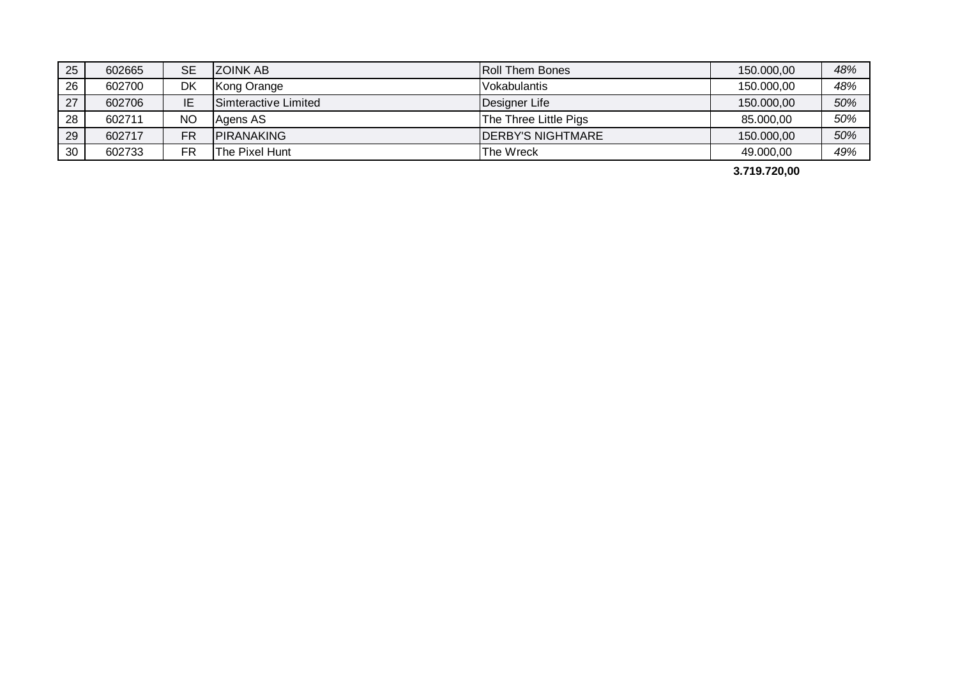| 25 | 602665 | SЕ | IZOINK AB            | <b>Roll Them Bones</b>    | 150.000,00 | 48% |
|----|--------|----|----------------------|---------------------------|------------|-----|
| 26 | 602700 | DK | Kong Orange          | <b>Vokabulantis</b>       | 150.000,00 | 48% |
| 27 | 602706 | ΙE | Simteractive Limited | Designer Life             | 150.000,00 | 50% |
| 28 | 602711 | NO | Agens AS             | The Three Little Pigs     | 85.000,00  | 50% |
| 29 | 602717 | FR | <b>IPIRANAKING</b>   | <b>IDERBY'S NIGHTMARE</b> | 150.000,00 | 50% |
| 30 | 602733 | FR | The Pixel Hunt       | The Wreck                 | 49.000,00  | 49% |

**3.719.720,00**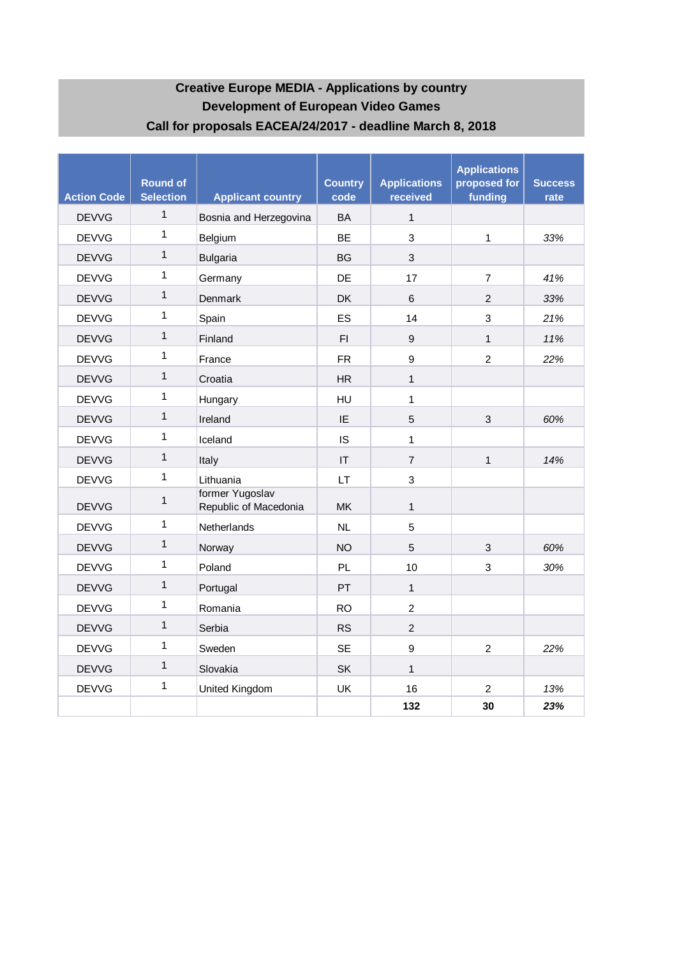# **Development of European Video Games Call for proposals EACEA/24/2017 - deadline March 8, 2018 Creative Europe MEDIA - Applications by country**

| <b>Action Code</b> | <b>Round of</b><br><b>Selection</b> | <b>Applicant country</b>                 | <b>Country</b><br>code | <b>Applications</b><br>received | <b>Applications</b><br>proposed for<br>funding | <b>Success</b><br>rate |
|--------------------|-------------------------------------|------------------------------------------|------------------------|---------------------------------|------------------------------------------------|------------------------|
| <b>DEVVG</b>       | $\mathbf{1}$                        | Bosnia and Herzegovina                   | <b>BA</b>              | $\mathbf{1}$                    |                                                |                        |
| <b>DEVVG</b>       | 1                                   | Belgium                                  | <b>BF</b>              | 3                               | 1                                              | 33%                    |
| <b>DEVVG</b>       | $\mathbf{1}$                        | <b>Bulgaria</b>                          | <b>BG</b>              | 3                               |                                                |                        |
| <b>DEVVG</b>       | 1                                   | Germany                                  | DE                     | 17                              | $\overline{7}$                                 | 41%                    |
| <b>DEVVG</b>       | $\mathbf{1}$                        | Denmark                                  | <b>DK</b>              | 6                               | $\overline{2}$                                 | 33%                    |
| <b>DEVVG</b>       | 1                                   | Spain                                    | ES                     | 14                              | 3                                              | 21%                    |
| <b>DEVVG</b>       | $\mathbf 1$                         | Finland                                  | FI.                    | $\overline{9}$                  | $\mathbf{1}$                                   | 11%                    |
| <b>DEVVG</b>       | 1                                   | France                                   | <b>FR</b>              | 9                               | $\overline{2}$                                 | 22%                    |
| <b>DEVVG</b>       | $\mathbf{1}$                        | Croatia                                  | <b>HR</b>              | $\mathbf{1}$                    |                                                |                        |
| <b>DEVVG</b>       | 1                                   | Hungary                                  | HU                     | $\mathbf{1}$                    |                                                |                        |
| <b>DEVVG</b>       | $\mathbf{1}$                        | Ireland                                  | IE                     | 5                               | 3                                              | 60%                    |
| <b>DEVVG</b>       | 1                                   | Iceland                                  | IS                     | $\mathbf{1}$                    |                                                |                        |
| <b>DEVVG</b>       | $\mathbf{1}$                        | Italy                                    | IT                     | $\overline{7}$                  | $\mathbf{1}$                                   | 14%                    |
| <b>DEVVG</b>       | 1                                   | Lithuania                                | <b>LT</b>              | 3                               |                                                |                        |
| <b>DEVVG</b>       | $\mathbf{1}$                        | former Yugoslav<br>Republic of Macedonia | <b>MK</b>              | $\mathbf{1}$                    |                                                |                        |
| <b>DEVVG</b>       | 1                                   | Netherlands                              | NL                     | 5                               |                                                |                        |
| <b>DEVVG</b>       | $\mathbf{1}$                        | Norway                                   | <b>NO</b>              | 5                               | 3                                              | 60%                    |
| <b>DEVVG</b>       | 1                                   | Poland                                   | <b>PL</b>              | 10                              | 3                                              | 30%                    |
| <b>DEVVG</b>       | $\mathbf{1}$                        | Portugal                                 | PT                     | $\mathbf{1}$                    |                                                |                        |
| <b>DEVVG</b>       | 1                                   | Romania                                  | <b>RO</b>              | $\overline{2}$                  |                                                |                        |
| <b>DEVVG</b>       | $\mathbf{1}$                        | Serbia                                   | <b>RS</b>              | $\overline{2}$                  |                                                |                        |
| <b>DEVVG</b>       | 1                                   | Sweden                                   | <b>SE</b>              | $\boldsymbol{9}$                | $\overline{2}$                                 | 22%                    |
| <b>DEVVG</b>       | 1                                   | Slovakia                                 | <b>SK</b>              | $\mathbf{1}$                    |                                                |                        |
| <b>DEVVG</b>       | 1                                   | United Kingdom                           | UK                     | 16                              | 2                                              | 13%                    |
|                    |                                     |                                          |                        | 132                             | 30                                             | 23%                    |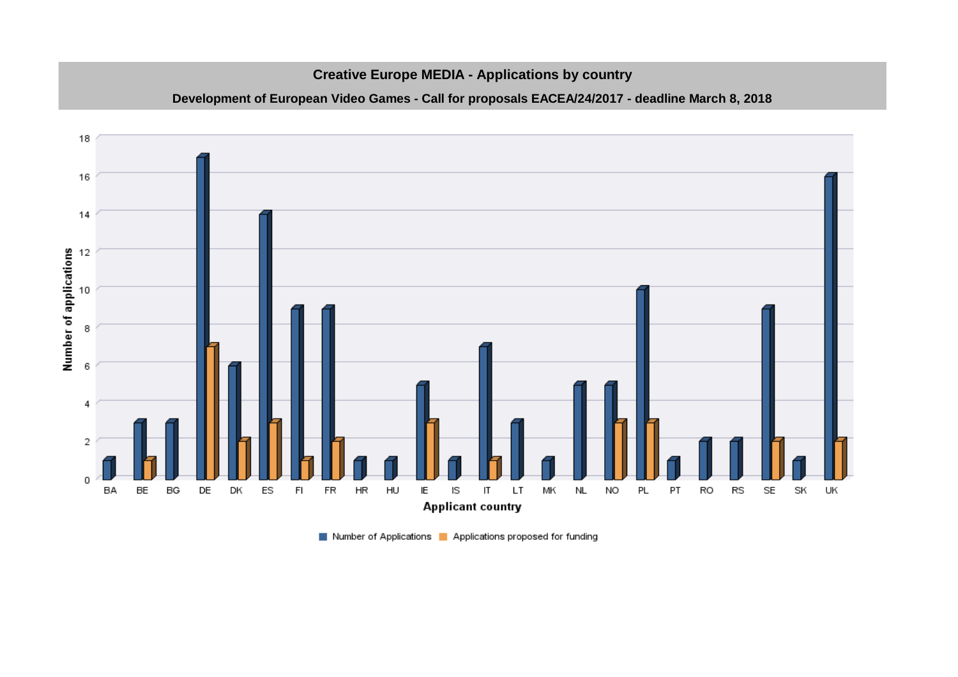#### **Creative Europe MEDIA - Applications by country**

#### **Development of European Video Games - Call for proposals EACEA/24/2017 - deadline March 8, 2018**



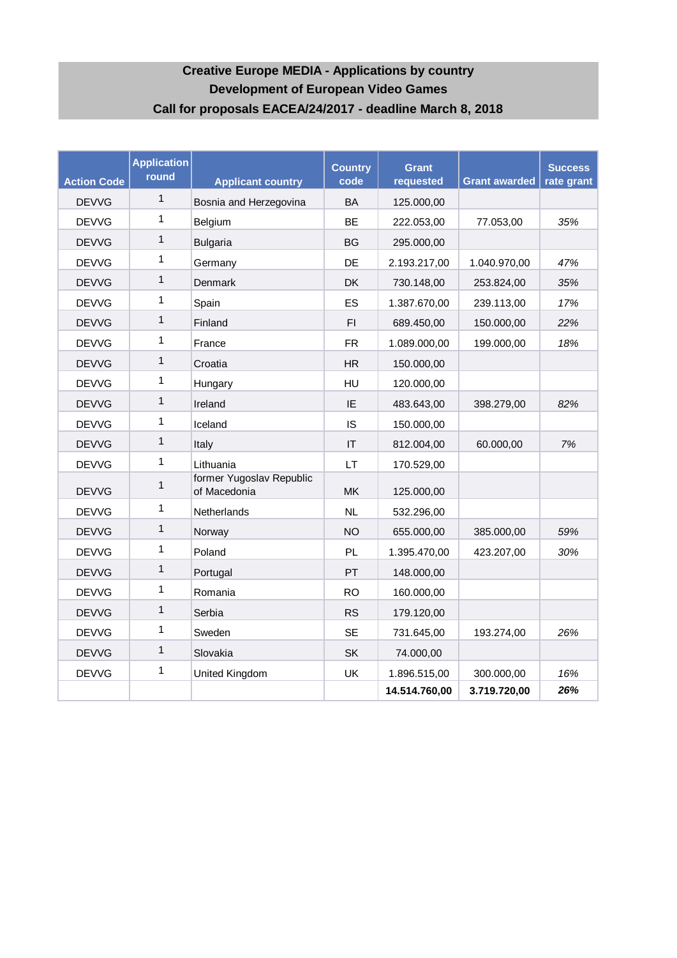# **Creative Europe MEDIA - Applications by country Development of European Video Games Call for proposals EACEA/24/2017 - deadline March 8, 2018**

| <b>Action Code</b> | <b>Application</b><br>round | <b>Applicant country</b>                 | <b>Country</b><br>code | <b>Grant</b><br>requested | <b>Grant awarded</b> | <b>Success</b><br>rate grant |
|--------------------|-----------------------------|------------------------------------------|------------------------|---------------------------|----------------------|------------------------------|
| <b>DEVVG</b>       | $\mathbf{1}$                | Bosnia and Herzegovina                   | <b>BA</b>              | 125.000,00                |                      |                              |
| <b>DEVVG</b>       | 1                           | Belgium                                  | <b>BE</b>              | 222.053,00                | 77.053,00            | 35%                          |
| <b>DEVVG</b>       | $\mathbf{1}$                | <b>Bulgaria</b>                          | <b>BG</b>              | 295.000,00                |                      |                              |
| <b>DEVVG</b>       | $\mathbf{1}$                | Germany                                  | DE                     | 2.193.217,00              | 1.040.970,00         | 47%                          |
| <b>DEVVG</b>       | $\mathbf{1}$                | <b>Denmark</b>                           | <b>DK</b>              | 730.148,00                | 253.824,00           | 35%                          |
| <b>DEVVG</b>       | 1                           | Spain                                    | ES                     | 1.387.670,00              | 239.113,00           | 17%                          |
| <b>DEVVG</b>       | $\mathbf{1}$                | Finland                                  | F1                     | 689.450,00                | 150.000,00           | 22%                          |
| <b>DEVVG</b>       | $\mathbf{1}$                | France                                   | <b>FR</b>              | 1.089.000,00              | 199.000,00           | 18%                          |
| <b>DEVVG</b>       | $\mathbf{1}$                | Croatia                                  | <b>HR</b>              | 150.000,00                |                      |                              |
| <b>DEVVG</b>       | $\mathbf{1}$                | Hungary                                  | HU                     | 120.000,00                |                      |                              |
| <b>DEVVG</b>       | $\mathbf{1}$                | Ireland                                  | IE                     | 483.643,00                | 398.279,00           | 82%                          |
| <b>DEVVG</b>       | $\mathbf{1}$                | Iceland                                  | IS                     | 150.000,00                |                      |                              |
| <b>DEVVG</b>       | $\mathbf{1}$                | Italy                                    | IT                     | 812.004,00                | 60.000,00            | 7%                           |
| <b>DEVVG</b>       | $\mathbf{1}$                | Lithuania                                | LT                     | 170.529,00                |                      |                              |
| <b>DEVVG</b>       | 1                           | former Yugoslav Republic<br>of Macedonia | <b>MK</b>              | 125.000,00                |                      |                              |
| <b>DEVVG</b>       | 1                           | Netherlands                              | NL                     | 532.296,00                |                      |                              |
| <b>DEVVG</b>       | 1                           | Norway                                   | <b>NO</b>              | 655.000,00                | 385.000,00           | 59%                          |
| <b>DEVVG</b>       | $\mathbf{1}$                | Poland                                   | PL                     | 1.395.470,00              | 423.207,00           | 30%                          |
| <b>DEVVG</b>       | 1                           | Portugal                                 | PT                     | 148.000,00                |                      |                              |
| <b>DEVVG</b>       | $\mathbf{1}$                | Romania                                  | <b>RO</b>              | 160.000,00                |                      |                              |
| <b>DEVVG</b>       | 1                           | Serbia                                   | <b>RS</b>              | 179.120,00                |                      |                              |
| <b>DEVVG</b>       | 1                           | Sweden                                   | <b>SE</b>              | 731.645,00                | 193.274,00           | 26%                          |
| <b>DEVVG</b>       | $\mathbf{1}$                | Slovakia                                 | SK                     | 74.000,00                 |                      |                              |
| <b>DEVVG</b>       | 1                           | United Kingdom                           | UK                     | 1.896.515,00              | 300.000,00           | 16%                          |
|                    |                             |                                          |                        | 14.514.760,00             | 3.719.720,00         | 26%                          |